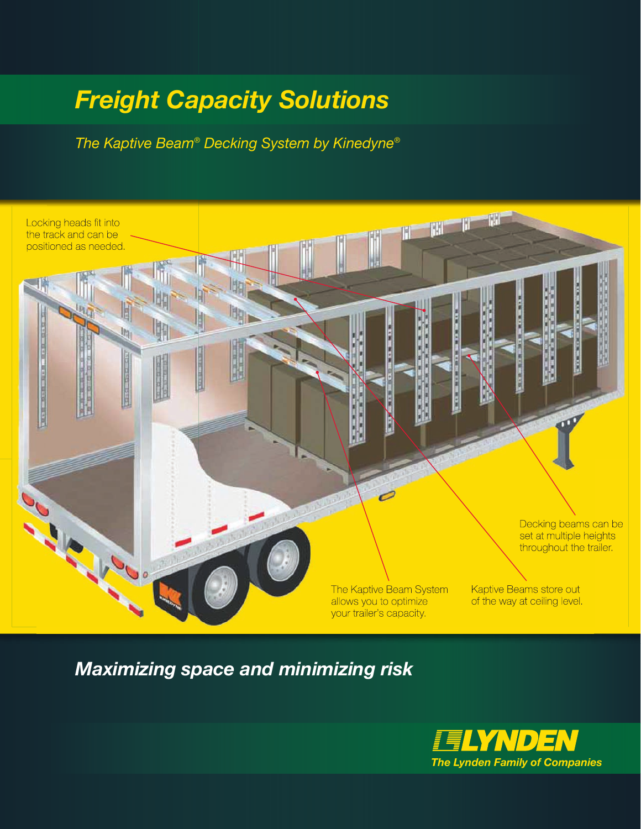## *Freight Capacity Solutions*

*The Kaptive Beam® Decking System by Kinedyne®*



*Maximizing space and minimizing risk*